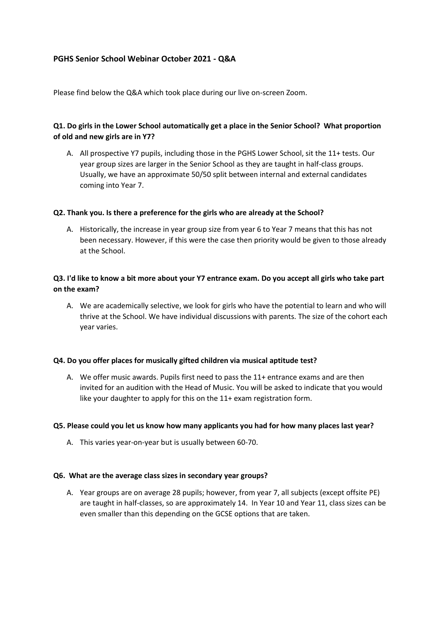# **PGHS Senior School Webinar October 2021 - Q&A**

Please find below the Q&A which took place during our live on-screen Zoom.

## **Q1. Do girls in the Lower School automatically get a place in the Senior School? What proportion of old and new girls are in Y7?**

A. All prospective Y7 pupils, including those in the PGHS Lower School, sit the 11+ tests. Our year group sizes are larger in the Senior School as they are taught in half-class groups. Usually, we have an approximate 50/50 split between internal and external candidates coming into Year 7.

## **Q2. Thank you. Is there a preference for the girls who are already at the School?**

A. Historically, the increase in year group size from year 6 to Year 7 means that this has not been necessary. However, if this were the case then priority would be given to those already at the School.

# **Q3. I'd like to know a bit more about your Y7 entrance exam. Do you accept all girls who take part on the exam?**

A. We are academically selective, we look for girls who have the potential to learn and who will thrive at the School. We have individual discussions with parents. The size of the cohort each year varies.

#### **Q4. Do you offer places for musically gifted children via musical aptitude test?**

A. We offer music awards. Pupils first need to pass the 11+ entrance exams and are then invited for an audition with the Head of Music. You will be asked to indicate that you would like your daughter to apply for this on the 11+ exam registration form.

#### **Q5. Please could you let us know how many applicants you had for how many places last year?**

A. This varies year-on-year but is usually between 60-70.

#### **Q6. What are the average class sizes in secondary year groups?**

A. Year groups are on average 28 pupils; however, from year 7, all subjects (except offsite PE) are taught in half-classes, so are approximately 14. In Year 10 and Year 11, class sizes can be even smaller than this depending on the GCSE options that are taken.